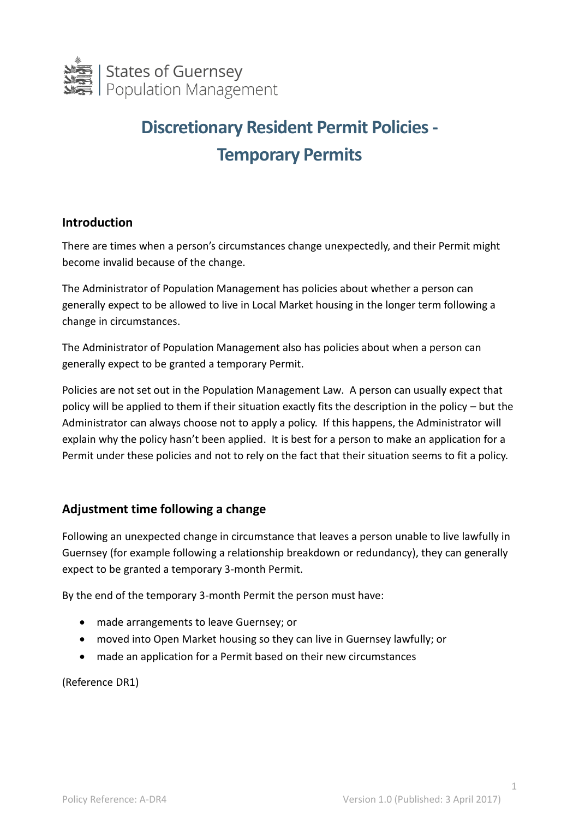

# **Discretionary Resident Permit Policies - Temporary Permits**

### **Introduction**

There are times when a person's circumstances change unexpectedly, and their Permit might become invalid because of the change.

The Administrator of Population Management has policies about whether a person can generally expect to be allowed to live in Local Market housing in the longer term following a change in circumstances.

The Administrator of Population Management also has policies about when a person can generally expect to be granted a temporary Permit.

Policies are not set out in the Population Management Law. A person can usually expect that policy will be applied to them if their situation exactly fits the description in the policy – but the Administrator can always choose not to apply a policy. If this happens, the Administrator will explain why the policy hasn't been applied. It is best for a person to make an application for a Permit under these policies and not to rely on the fact that their situation seems to fit a policy.

## **Adjustment time following a change**

Following an unexpected change in circumstance that leaves a person unable to live lawfully in Guernsey (for example following a relationship breakdown or redundancy), they can generally expect to be granted a temporary 3-month Permit.

By the end of the temporary 3-month Permit the person must have:

- made arrangements to leave Guernsey; or
- moved into Open Market housing so they can live in Guernsey lawfully; or
- made an application for a Permit based on their new circumstances

(Reference DR1)